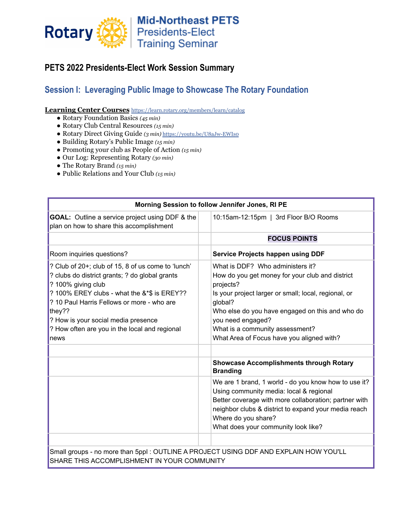

### **PETS 2022 Presidents-Elect Work Session Summary**

# **Session I: Leveraging Public Image to Showcase The Rotary Foundation**

**Learning Center Courses** <https://learn.rotary.org/members/learn/catalog>

- **●** Rotary Foundation Basics *(45 min)*
- **●** Rotary Club Central Resources *(15 min)*
- **●** Rotary Direct Giving Guide *(3 min)* <https://youtu.be/U8aJw-EWIs0>
- **●** Building Rotary's Public Image *(15 min)*
- Promoting your club as People of Action *(15 min)*
- Our Log: Representing Rotary *(30 min)*
- The Rotary Brand *(15 min)*
- Public Relations and Your Club *(15 min)*

| Morning Session to follow Jennifer Jones, RI PE                                                                                                                                                                                                                                                                                   |                                                                                                                                                                                                                                                                                                                             |
|-----------------------------------------------------------------------------------------------------------------------------------------------------------------------------------------------------------------------------------------------------------------------------------------------------------------------------------|-----------------------------------------------------------------------------------------------------------------------------------------------------------------------------------------------------------------------------------------------------------------------------------------------------------------------------|
| <b>GOAL:</b> Outline a service project using DDF & the<br>plan on how to share this accomplishment                                                                                                                                                                                                                                | 10:15am-12:15pm   3rd Floor B/O Rooms                                                                                                                                                                                                                                                                                       |
|                                                                                                                                                                                                                                                                                                                                   | <b>FOCUS POINTS</b>                                                                                                                                                                                                                                                                                                         |
| Room inquiries questions?                                                                                                                                                                                                                                                                                                         | <b>Service Projects happen using DDF</b>                                                                                                                                                                                                                                                                                    |
| ? Club of 20+; club of 15, 8 of us come to 'lunch'<br>? clubs do district grants; ? do global grants<br>? 100% giving club<br>? 100% EREY clubs - what the &*\$ is EREY??<br>? 10 Paul Harris Fellows or more - who are<br>they??<br>? How is your social media presence<br>? How often are you in the local and regional<br>news | What is DDF? Who administers it?<br>How do you get money for your club and district<br>projects?<br>Is your project larger or small; local, regional, or<br>global?<br>Who else do you have engaged on this and who do<br>you need engaged?<br>What is a community assessment?<br>What Area of Focus have you aligned with? |
|                                                                                                                                                                                                                                                                                                                                   | <b>Showcase Accomplishments through Rotary</b><br><b>Branding</b>                                                                                                                                                                                                                                                           |
|                                                                                                                                                                                                                                                                                                                                   | We are 1 brand, 1 world - do you know how to use it?<br>Using community media: local & regional<br>Better coverage with more collaboration; partner with<br>neighbor clubs & district to expand your media reach<br>Where do you share?<br>What does your community look like?                                              |
|                                                                                                                                                                                                                                                                                                                                   |                                                                                                                                                                                                                                                                                                                             |
| Small groups - no more than 5ppl : OUTLINE A PROJECT USING DDF AND EXPLAIN HOW YOU'LL<br>SHARE THIS ACCOMPLISHMENT IN YOUR COMMUNITY                                                                                                                                                                                              |                                                                                                                                                                                                                                                                                                                             |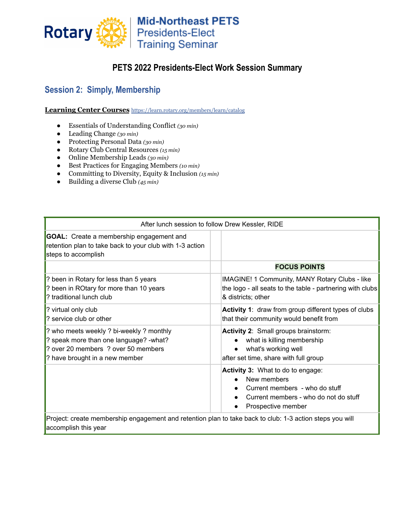

# **PETS 2022 Presidents-Elect Work Session Summary**

# **Session 2: Simply, Membership**

**Learning Center Courses** <https://learn.rotary.org/members/learn/catalog>

- **●** Essentials of Understanding Conflict *(30 min)*
- **●** Leading Change *(30 min)*
- **●** Protecting Personal Data *(30 min)*
- **●** Rotary Club Central Resources *(15 min)*
- **●** Online Membership Leads *(30 min)*
- **●** Best Practices for Engaging Members *(10 min)*
- **●** Committing to Diversity, Equity & Inclusion *(15 min)*
- **●** Building a diverse Club *(45 min)*

| After lunch session to follow Drew Kessler, RIDE                                                                                                          |                                                                                                                                                   |
|-----------------------------------------------------------------------------------------------------------------------------------------------------------|---------------------------------------------------------------------------------------------------------------------------------------------------|
| <b>GOAL:</b> Create a membership engagement and<br>retention plan to take back to your club with 1-3 action<br>steps to accomplish                        |                                                                                                                                                   |
|                                                                                                                                                           | <b>FOCUS POINTS</b>                                                                                                                               |
| ? been in Rotary for less than 5 years<br>? been in ROtary for more than 10 years<br>? traditional lunch club                                             | IMAGINE! 1 Community, MANY Rotary Clubs - like<br>the logo - all seats to the table - partnering with clubs<br>& districts; other                 |
| ? virtual only club<br>? service club or other                                                                                                            | Activity 1: draw from group different types of clubs<br>that their community would benefit from                                                   |
| ? who meets weekly ? bi-weekly ? monthly<br>? speak more than one language? -what?<br>over 20 members ? over 50 members<br>? have brought in a new member | Activity 2: Small groups brainstorm:<br>what is killing membership<br>what's working well<br>after set time, share with full group                |
|                                                                                                                                                           | Activity 3: What to do to engage:<br>New members<br>Current members - who do stuff<br>Current members - who do not do stuff<br>Prospective member |
| Project: create membership engagement and retention plan to take back to club: 1-3 action steps you will                                                  |                                                                                                                                                   |

accomplish this year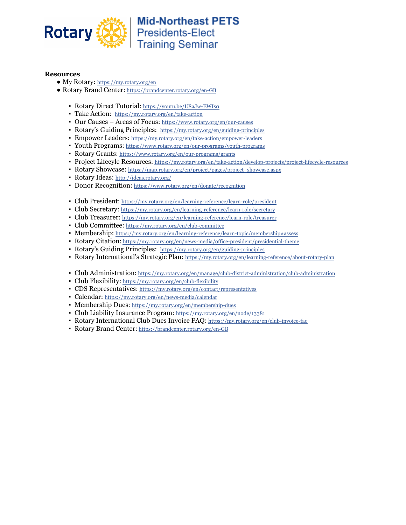

### **Resources**

- My Rotary: <https://my.rotary.org/en>
- Rotary Brand Center: <https://brandcenter.rotary.org/en-GB>
	- Rotary Direct Tutorial: https://youtu.be/U8aJw-EWIso
	- Take Action: <https://my.rotary.org/en/take-action>
	- Our Causes Areas of Focus: <https://www.rotary.org/en/our-causes>
	- Rotary's Guiding Principles: <https://my.rotary.org/en/guiding-principles>
	- **Empower Leaders:** <https://my.rotary.org/en/take-action/empower-leaders>
	- Youth Programs: <https://www.rotary.org/en/our-programs/youth-programs>
	- Rotary Grants: <https://www.rotary.org/en/our-programs/grants>
	- Project Lifecyle Resources: <https://my.rotary.org/en/take-action/develop-projects/project-lifecycle-resources>
	- Rotary Showcase: [https://map.rotary.org/en/project/pages/project\\_showcase.aspx](https://map.rotary.org/en/project/pages/project_showcase.aspx)
	- Rotary Ideas: <http://ideas.rotary.org/>
	- **Donor Recognition:** <https://www.rotary.org/en/donate/recognition>
	- Club President: <https://my.rotary.org/en/learning-reference/learn-role/president>
	- Club Secretary: <https://my.rotary.org/en/learning-reference/learn-role/secretary>
	- Club Treasurer: <https://my.rotary.org/en/learning-reference/learn-role/treasurer>
	- Club Committee: <https://my.rotary.org/en/club-committee>
	- Membership: <https://my.rotary.org/en/learning-reference/learn-topic/membership#assess>
	- Rotary Citation: https://my.rotary.org/en/news-media/office-president/presidential-theme
	- Rotary's Guiding Principles: <https://my.rotary.org/en/guiding-principles>
	- Rotary International's Strategic Plan: [https://my.rotary.org/en/learning-reference/about-rotary-plan](https://my.rotary.org/en/learning-reference/about-rotary/strategic-plan)
	- Club Administration: <https://my.rotary.org/en/manage/club-district-administration/club-administration>
	- Club Flexibility: <https://my.rotary.org/en/club-flexibility>
	- CDS Representatives: <https://my.rotary.org/en/contact/representatives>
	- Calendar: <https://my.rotary.org/en/news-media/calendar>
	- Membership Dues: <https://my.rotary.org/en/membership-dues>
	- Club Liability Insurance Program: <https://my.rotary.org/en/node/13381>
	- Rotary International Club Dues Invoice FAQ: <https://my.rotary.org/en/club-invoice-faq>
	- Rotary Brand Center: <https://brandcenter.rotary.org/en-GB>